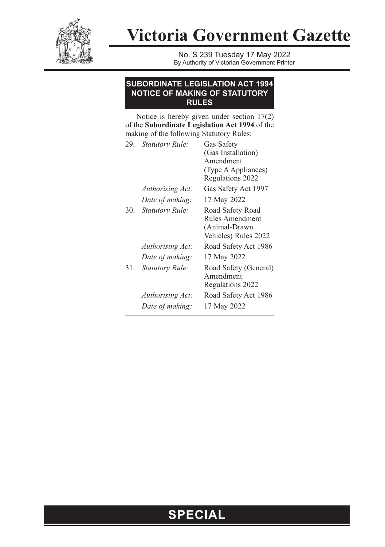

**Victoria Government Gazette**

No. S 239 Tuesday 17 May 2022 By Authority of Victorian Government Printer

## **SUBORDINATE LEGISLATION ACT 1994 NOTICE OF MAKING OF STATUTORY RULES**

Notice is hereby given under section 17(2) of the **Subordinate Legislation Act 1994** of the making of the following Statutory Rules:

|     | 29. Statutory Rule:     | Gas Safety<br>(Gas Installation)<br>Amendment<br>(Type A Appliances)<br>Regulations 2022 |
|-----|-------------------------|------------------------------------------------------------------------------------------|
|     | Authorising Act:        | Gas Safety Act 1997                                                                      |
|     | Date of making:         | 17 May 2022                                                                              |
| 30. | <b>Statutory Rule:</b>  | Road Safety Road<br>Rules Amendment<br>(Animal-Drawn<br>Vehicles) Rules 2022             |
|     | <i>Authorising Act:</i> | Road Safety Act 1986                                                                     |
|     | Date of making:         | 17 May 2022                                                                              |
| 31. | <b>Statutory Rule:</b>  | Road Safety (General)<br>Amendment<br>Regulations 2022                                   |
|     | Authorising Act:        | Road Safety Act 1986                                                                     |
|     | Date of making:         | 17 May 2022                                                                              |
|     |                         |                                                                                          |

## **SPECIAL**